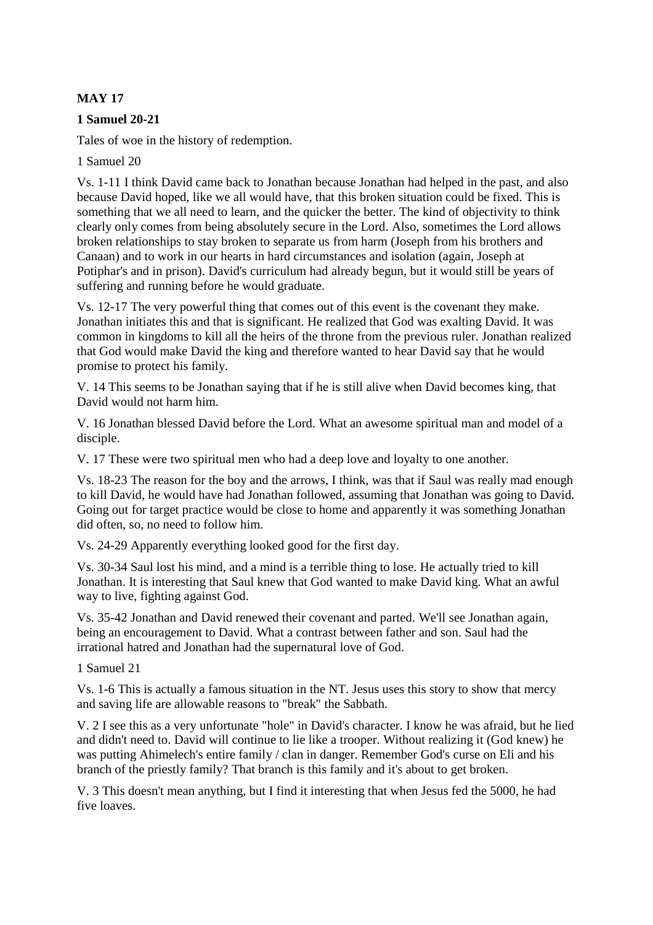# **MAY 17**

### **1 Samuel 20-21**

Tales of woe in the history of redemption.

1 Samuel 20

Vs. 1-11 I think David came back to Jonathan because Jonathan had helped in the past, and also because David hoped, like we all would have, that this broken situation could be fixed. This is something that we all need to learn, and the quicker the better. The kind of objectivity to think clearly only comes from being absolutely secure in the Lord. Also, sometimes the Lord allows broken relationships to stay broken to separate us from harm (Joseph from his brothers and Canaan) and to work in our hearts in hard circumstances and isolation (again, Joseph at Potiphar's and in prison). David's curriculum had already begun, but it would still be years of suffering and running before he would graduate.

Vs. 12-17 The very powerful thing that comes out of this event is the covenant they make. Jonathan initiates this and that is significant. He realized that God was exalting David. It was common in kingdoms to kill all the heirs of the throne from the previous ruler. Jonathan realized that God would make David the king and therefore wanted to hear David say that he would promise to protect his family.

V. 14 This seems to be Jonathan saying that if he is still alive when David becomes king, that David would not harm him.

V. 16 Jonathan blessed David before the Lord. What an awesome spiritual man and model of a disciple.

V. 17 These were two spiritual men who had a deep love and loyalty to one another.

Vs. 18-23 The reason for the boy and the arrows, I think, was that if Saul was really mad enough to kill David, he would have had Jonathan followed, assuming that Jonathan was going to David. Going out for target practice would be close to home and apparently it was something Jonathan did often, so, no need to follow him.

Vs. 24-29 Apparently everything looked good for the first day.

Vs. 30-34 Saul lost his mind, and a mind is a terrible thing to lose. He actually tried to kill Jonathan. It is interesting that Saul knew that God wanted to make David king. What an awful way to live, fighting against God.

Vs. 35-42 Jonathan and David renewed their covenant and parted. We'll see Jonathan again, being an encouragement to David. What a contrast between father and son. Saul had the irrational hatred and Jonathan had the supernatural love of God.

1 Samuel 21

Vs. 1-6 This is actually a famous situation in the NT. Jesus uses this story to show that mercy and saving life are allowable reasons to "break" the Sabbath.

V. 2 I see this as a very unfortunate "hole" in David's character. I know he was afraid, but he lied and didn't need to. David will continue to lie like a trooper. Without realizing it (God knew) he was putting Ahimelech's entire family / clan in danger. Remember God's curse on Eli and his branch of the priestly family? That branch is this family and it's about to get broken.

V. 3 This doesn't mean anything, but I find it interesting that when Jesus fed the 5000, he had five loaves.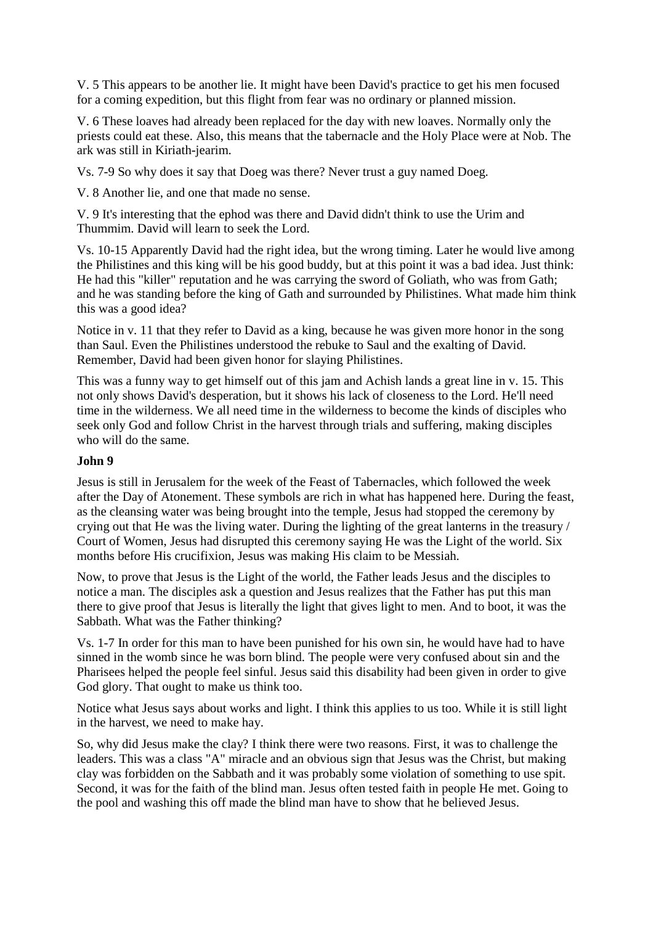V. 5 This appears to be another lie. It might have been David's practice to get his men focused for a coming expedition, but this flight from fear was no ordinary or planned mission.

V. 6 These loaves had already been replaced for the day with new loaves. Normally only the priests could eat these. Also, this means that the tabernacle and the Holy Place were at Nob. The ark was still in Kiriath-jearim.

Vs. 7-9 So why does it say that Doeg was there? Never trust a guy named Doeg.

V. 8 Another lie, and one that made no sense.

V. 9 It's interesting that the ephod was there and David didn't think to use the Urim and Thummim. David will learn to seek the Lord.

Vs. 10-15 Apparently David had the right idea, but the wrong timing. Later he would live among the Philistines and this king will be his good buddy, but at this point it was a bad idea. Just think: He had this "killer" reputation and he was carrying the sword of Goliath, who was from Gath; and he was standing before the king of Gath and surrounded by Philistines. What made him think this was a good idea?

Notice in v. 11 that they refer to David as a king, because he was given more honor in the song than Saul. Even the Philistines understood the rebuke to Saul and the exalting of David. Remember, David had been given honor for slaying Philistines.

This was a funny way to get himself out of this jam and Achish lands a great line in v. 15. This not only shows David's desperation, but it shows his lack of closeness to the Lord. He'll need time in the wilderness. We all need time in the wilderness to become the kinds of disciples who seek only God and follow Christ in the harvest through trials and suffering, making disciples who will do the same.

#### **John 9**

Jesus is still in Jerusalem for the week of the Feast of Tabernacles, which followed the week after the Day of Atonement. These symbols are rich in what has happened here. During the feast, as the cleansing water was being brought into the temple, Jesus had stopped the ceremony by crying out that He was the living water. During the lighting of the great lanterns in the treasury / Court of Women, Jesus had disrupted this ceremony saying He was the Light of the world. Six months before His crucifixion, Jesus was making His claim to be Messiah.

Now, to prove that Jesus is the Light of the world, the Father leads Jesus and the disciples to notice a man. The disciples ask a question and Jesus realizes that the Father has put this man there to give proof that Jesus is literally the light that gives light to men. And to boot, it was the Sabbath. What was the Father thinking?

Vs. 1-7 In order for this man to have been punished for his own sin, he would have had to have sinned in the womb since he was born blind. The people were very confused about sin and the Pharisees helped the people feel sinful. Jesus said this disability had been given in order to give God glory. That ought to make us think too.

Notice what Jesus says about works and light. I think this applies to us too. While it is still light in the harvest, we need to make hay.

So, why did Jesus make the clay? I think there were two reasons. First, it was to challenge the leaders. This was a class "A" miracle and an obvious sign that Jesus was the Christ, but making clay was forbidden on the Sabbath and it was probably some violation of something to use spit. Second, it was for the faith of the blind man. Jesus often tested faith in people He met. Going to the pool and washing this off made the blind man have to show that he believed Jesus.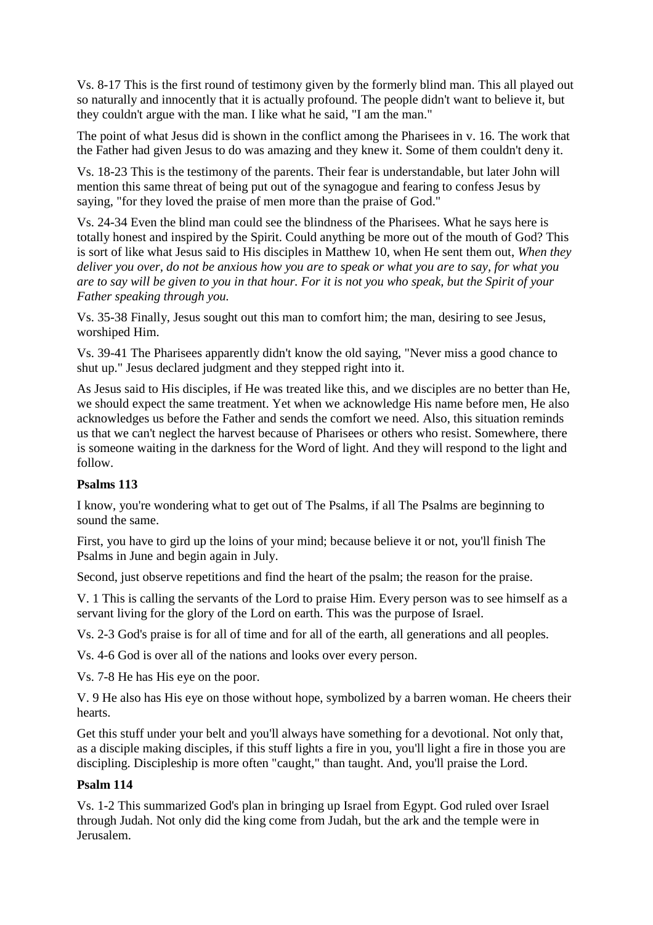Vs. 8-17 This is the first round of testimony given by the formerly blind man. This all played out so naturally and innocently that it is actually profound. The people didn't want to believe it, but they couldn't argue with the man. I like what he said, "I am the man."

The point of what Jesus did is shown in the conflict among the Pharisees in v. 16. The work that the Father had given Jesus to do was amazing and they knew it. Some of them couldn't deny it.

Vs. 18-23 This is the testimony of the parents. Their fear is understandable, but later John will mention this same threat of being put out of the synagogue and fearing to confess Jesus by saying, "for they loved the praise of men more than the praise of God."

Vs. 24-34 Even the blind man could see the blindness of the Pharisees. What he says here is totally honest and inspired by the Spirit. Could anything be more out of the mouth of God? This is sort of like what Jesus said to His disciples in Matthew 10, when He sent them out, *When they deliver you over, do not be anxious how you are to speak or what you are to say, for what you are to say will be given to you in that hour. For it is not you who speak, but the Spirit of your Father speaking through you.*

Vs. 35-38 Finally, Jesus sought out this man to comfort him; the man, desiring to see Jesus, worshiped Him.

Vs. 39-41 The Pharisees apparently didn't know the old saying, "Never miss a good chance to shut up." Jesus declared judgment and they stepped right into it.

As Jesus said to His disciples, if He was treated like this, and we disciples are no better than He, we should expect the same treatment. Yet when we acknowledge His name before men, He also acknowledges us before the Father and sends the comfort we need. Also, this situation reminds us that we can't neglect the harvest because of Pharisees or others who resist. Somewhere, there is someone waiting in the darkness for the Word of light. And they will respond to the light and follow.

## **Psalms 113**

I know, you're wondering what to get out of The Psalms, if all The Psalms are beginning to sound the same.

First, you have to gird up the loins of your mind; because believe it or not, you'll finish The Psalms in June and begin again in July.

Second, just observe repetitions and find the heart of the psalm; the reason for the praise.

V. 1 This is calling the servants of the Lord to praise Him. Every person was to see himself as a servant living for the glory of the Lord on earth. This was the purpose of Israel.

Vs. 2-3 God's praise is for all of time and for all of the earth, all generations and all peoples.

Vs. 4-6 God is over all of the nations and looks over every person.

Vs. 7-8 He has His eye on the poor.

V. 9 He also has His eye on those without hope, symbolized by a barren woman. He cheers their hearts.

Get this stuff under your belt and you'll always have something for a devotional. Not only that, as a disciple making disciples, if this stuff lights a fire in you, you'll light a fire in those you are discipling. Discipleship is more often "caught," than taught. And, you'll praise the Lord.

#### **Psalm 114**

Vs. 1-2 This summarized God's plan in bringing up Israel from Egypt. God ruled over Israel through Judah. Not only did the king come from Judah, but the ark and the temple were in Jerusalem.